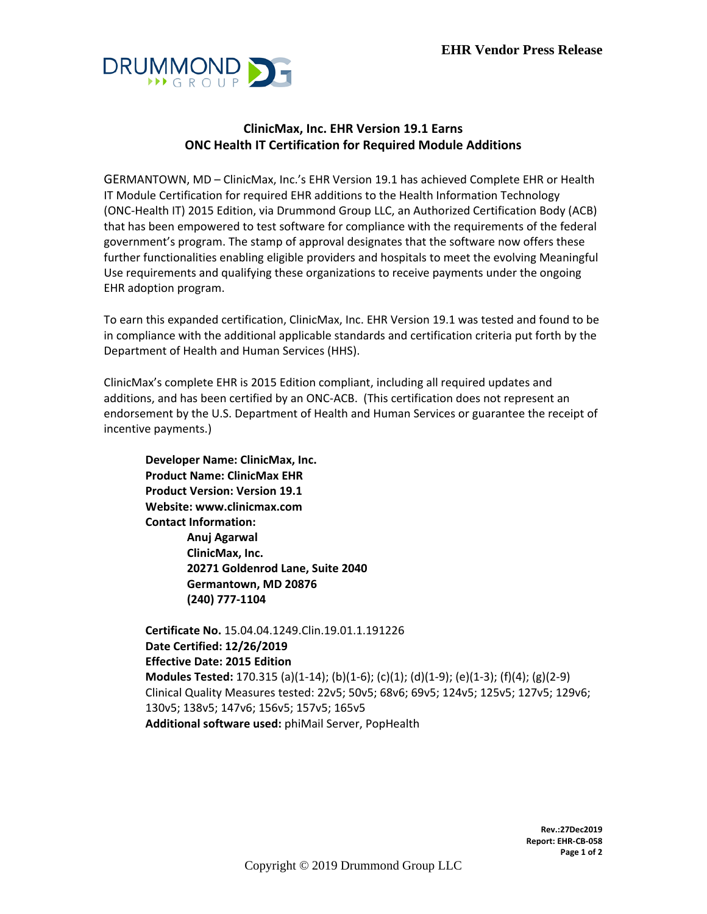

## **ClinicMax, Inc. EHR Version 19.1 Earns ONC Health IT Certification for Required Module Additions**

GERMANTOWN, MD – ClinicMax, Inc.'s EHR Version 19.1 has achieved Complete EHR or Health IT Module Certification for required EHR additions to the Health Information Technology (ONC-Health IT) 2015 Edition, via Drummond Group LLC, an Authorized Certification Body (ACB) that has been empowered to test software for compliance with the requirements of the federal government's program. The stamp of approval designates that the software now offers these further functionalities enabling eligible providers and hospitals to meet the evolving Meaningful Use requirements and qualifying these organizations to receive payments under the ongoing EHR adoption program.

To earn this expanded certification, ClinicMax, Inc. EHR Version 19.1 was tested and found to be in compliance with the additional applicable standards and certification criteria put forth by the Department of Health and Human Services (HHS).

ClinicMax's complete EHR is 2015 Edition compliant, including all required updates and additions, and has been certified by an ONC-ACB. (This certification does not represent an endorsement by the U.S. Department of Health and Human Services or guarantee the receipt of incentive payments.)

**Developer Name: ClinicMax, Inc. Product Name: ClinicMax EHR Product Version: Version 19.1 Website: www.clinicmax.com Contact Information: Anuj Agarwal ClinicMax, Inc. 20271 Goldenrod Lane, Suite 2040 Germantown, MD 20876 (240) 777-1104**

**Certificate No.** 15.04.04.1249.Clin.19.01.1.191226 **Date Certified: 12/26/2019 Effective Date: 2015 Edition Modules Tested:** 170.315 (a)(1-14); (b)(1-6); (c)(1); (d)(1-9); (e)(1-3); (f)(4); (g)(2-9) Clinical Quality Measures tested: 22v5; 50v5; 68v6; 69v5; 124v5; 125v5; 127v5; 129v6; 130v5; 138v5; 147v6; 156v5; 157v5; 165v5 **Additional software used:** phiMail Server, PopHealth